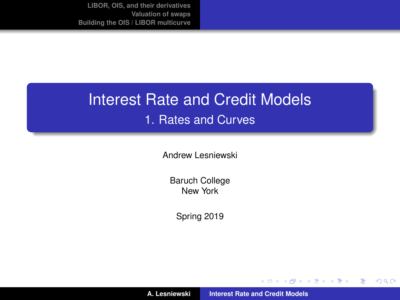## Interest Rate and Credit Models 1. Rates and Curves

Andrew Lesniewski

Baruch College New York

Spring 2019

(ロトス個) (運) (運)

重

<span id="page-0-0"></span> $298$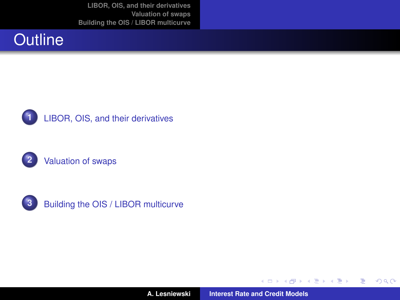







**3** [Building the OIS / LIBOR multicurve](#page-49-0)

**A. Lesniewski [Interest Rate and Credit Models](#page-0-0)**

**← ロ ▶ + 母** 

 $\mathbf{p}$ 

 $\mathcal{A} \times \mathcal{B} \rightarrow \mathcal{A} \times \mathcal{B} \rightarrow \mathcal{B}$ 

重

<span id="page-1-0"></span> $299$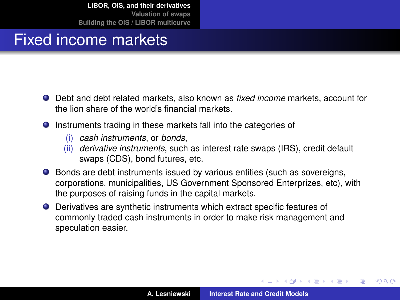### Fixed income markets

- Debt and debt related markets, also known as *fixed income* markets, account for the lion share of the world's financial markets.
- **O** Instruments trading in these markets fall into the categories of
	- (i) *cash instruments*, or *bonds*,
	- (ii) *derivative instruments*, such as interest rate swaps (IRS), credit default swaps (CDS), bond futures, etc.
- Bonds are debt instruments issued by various entities (such as sovereigns, corporations, municipalities, US Government Sponsored Enterprizes, etc), with the purposes of raising funds in the capital markets.
- Derivatives are synthetic instruments which extract specific features of commonly traded cash instruments in order to make risk management and speculation easier.

 $\left\{ \begin{array}{ccc} 1 & 0 & 0 \\ 0 & 1 & 0 \end{array} \right.$ 

<span id="page-2-0"></span> $QQ$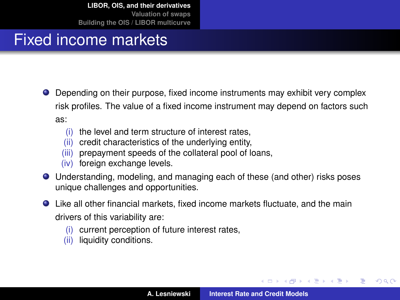### Fixed income markets

- Depending on their purpose, fixed income instruments may exhibit very complex risk profiles. The value of a fixed income instrument may depend on factors such as:
	- (i) the level and term structure of interest rates,
	- (ii) credit characteristics of the underlying entity,
	- (iii) prepayment speeds of the collateral pool of loans,
	- (iv) foreign exchange levels.
- Understanding, modeling, and managing each of these (and other) risks poses unique challenges and opportunities.
- Like all other financial markets, fixed income markets fluctuate, and the main drivers of this variability are:
	- (i) current perception of future interest rates,
	- (ii) liquidity conditions.

イロメ イ部メ イ君メ イ君メー

 $299$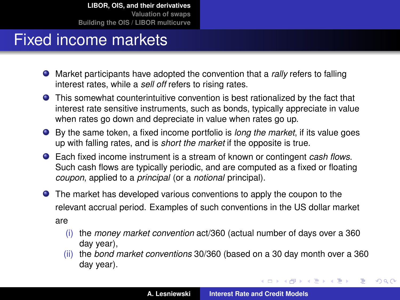#### Fixed income markets

- Market participants have adopted the convention that a *rally* refers to falling interest rates, while a *sell off* refers to rising rates.
- This somewhat counterintuitive convention is best rationalized by the fact that interest rate sensitive instruments, such as bonds, typically appreciate in value when rates go down and depreciate in value when rates go up.
- By the same token, a fixed income portfolio is *long the market*, if its value goes up with falling rates, and is *short the market* if the opposite is true.
- Each fixed income instrument is a stream of known or contingent *cash flows*. Such cash flows are typically periodic, and are computed as a fixed or floating *coupon*, applied to a *principal* (or a *notional* principal).
- The market has developed various conventions to apply the coupon to the relevant accrual period. Examples of such conventions in the US dollar market are
	- (i) the *money market convention* act/360 (actual number of days over a 360 day year),
	- (ii) the *bond market conventions* 30/360 (based on a 30 day month over a 360 day year).

イロメ イ団メ イヨメ イヨメー

重

 $299$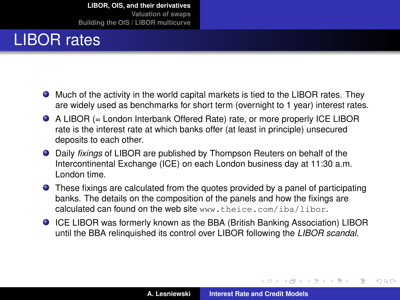## LIBOR rates

- Much of the activity in the world capital markets is tied to the LIBOR rates. They are widely used as benchmarks for short term (overnight to 1 year) interest rates.
- A LIBOR (= London Interbank Offered Rate) rate, or more properly ICE LIBOR rate is the interest rate at which banks offer (at least in principle) unsecured deposits to each other.
- Daily *fixings* of LIBOR are published by Thompson Reuters on behalf of the Intercontinental Exchange (ICE) on each London business day at 11:30 a.m. London time.
- These fixings are calculated from the quotes provided by a panel of participating banks. The details on the composition of the panels and how the fixings are calculated can found on the web site <www.theice.com/iba/libor>.
- ICE LIBOR was formerly known as the BBA (British Banking Association) LIBOR until the BBA relinquished its control over LIBOR following the *LIBOR scandal*.

 $QQ$ 

<span id="page-5-0"></span>Þ

イロト イ押ト イヨト イヨト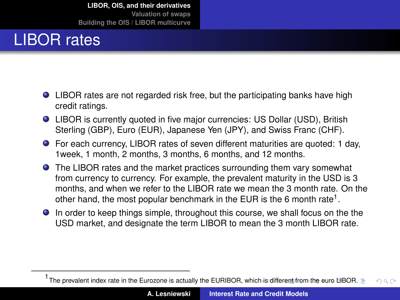## LIBOR rates

- LIBOR rates are not regarded risk free, but the participating banks have high credit ratings.
- LIBOR is currently quoted in five major currencies: US Dollar (USD), British Sterling (GBP), Euro (EUR), Japanese Yen (JPY), and Swiss Franc (CHF).
- For each currency, LIBOR rates of seven different maturities are quoted: 1 day, 1week, 1 month, 2 months, 3 months, 6 months, and 12 months.
- **•** The LIBOR rates and the market practices surrounding them vary somewhat from currency to currency. For example, the prevalent maturity in the USD is 3 months, and when we refer to the LIBOR rate we mean the 3 month rate. On the other hand, the most popular benchmark in the EUR is the 6 month rate<sup>1</sup>.
- In order to keep things simple, throughout this course, we shall focus on the the USD market, and designate the term LIBOR to mean the 3 month LIBOR rate.

<span id="page-6-0"></span><sup>1&</sup>lt;br>The prevalent index rate in the Eurozone is actually the EURIBOR, whic[h is](#page-5-0) [diffe](#page-7-0)[re](#page-5-0)[nt fr](#page-6-0)[o](#page-7-0)[m](#page-1-0) [th](#page-2-0)[e](#page-32-0) [eu](#page-33-0)[ro](#page-1-0) [L](#page-2-0)[IB](#page-32-0)[O](#page-33-0)[R.](#page-0-0)  $QQ$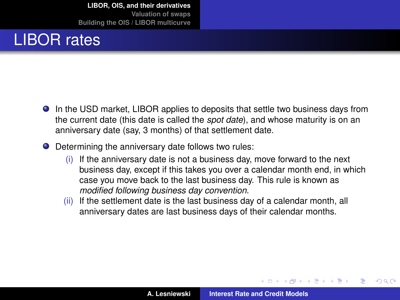## LIBOR rates

- In the USD market, LIBOR applies to deposits that settle two business days from the current date (this date is called the *spot date*), and whose maturity is on an anniversary date (say, 3 months) of that settlement date.
- Determining the anniversary date follows two rules:
	- (i) If the anniversary date is not a business day, move forward to the next business day, except if this takes you over a calendar month end, in which case you move back to the last business day. This rule is known as *modified following business day convention*.
	- (ii) If the settlement date is the last business day of a calendar month, all anniversary dates are last business days of their calendar months.

イロト イ押ト イヨト イヨト

<span id="page-7-0"></span> $QQ$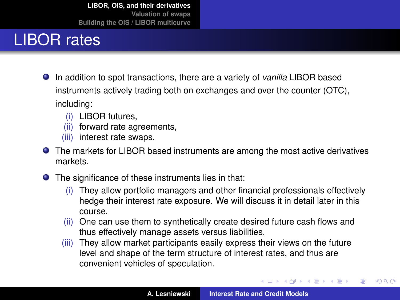## LIBOR rates

- In addition to spot transactions, there are a variety of *vanilla* LIBOR based instruments actively trading both on exchanges and over the counter (OTC), including:
	- (i) LIBOR futures,
	- (ii) forward rate agreements,
	- (iii) interest rate swaps.
- The markets for LIBOR based instruments are among the most active derivatives markets.
- The significance of these instruments lies in that:
	- (i) They allow portfolio managers and other financial professionals effectively hedge their interest rate exposure. We will discuss it in detail later in this course.
	- (ii) One can use them to synthetically create desired future cash flows and thus effectively manage assets versus liabilities.
	- (iii) They allow market participants easily express their views on the future level and shape of the term structure of interest rates, and thus are convenient vehicles of speculation.

イロメ イ部メ イ君メ イ君メー

 $299$ 

重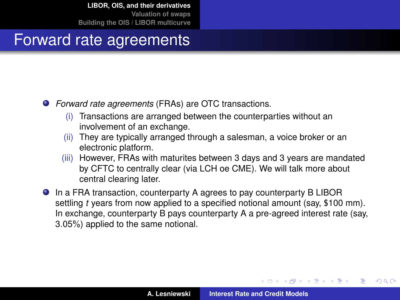#### Forward rate agreements

- *Forward rate agreements* (FRAs) are OTC transactions.
	- (i) Transactions are arranged between the counterparties without an involvement of an exchange.
	- (ii) They are typically arranged through a salesman, a voice broker or an electronic platform.
	- (iii) However, FRAs with maturites between 3 days and 3 years are mandated by CFTC to centrally clear (via LCH oe CME). We will talk more about central clearing later.
- In a FRA transaction, counterparty A agrees to pay counterparty B LIBOR settling *t* years from now applied to a specified notional amount (say, \$100 mm). In exchange, counterparty B pays counterparty A a pre-agreed interest rate (say, 3.05%) applied to the same notional.

 $\overline{AB}$   $\rightarrow$   $\overline{AB}$   $\rightarrow$   $\overline{AB}$   $\rightarrow$ 

 $QQ$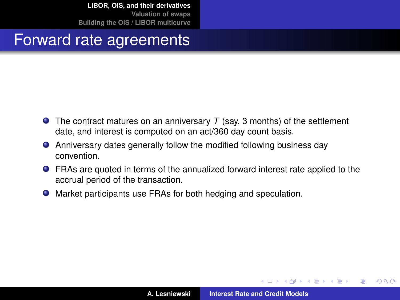#### Forward rate agreements

- The contract matures on an anniversary *T* (say, 3 months) of the settlement date, and interest is computed on an act/360 day count basis.
- Anniversary dates generally follow the modified following business day convention.
- FRAs are quoted in terms of the annualized forward interest rate applied to the accrual period of the transaction.
- Market participants use FRAs for both hedging and speculation.

イロト イ押 トイラ トイラト

 $2Q$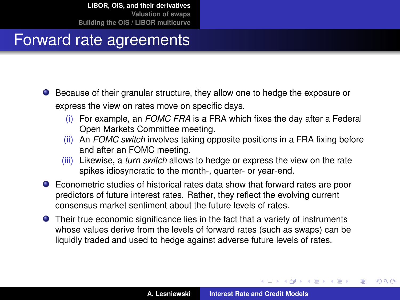### Forward rate agreements

- Because of their granular structure, they allow one to hedge the exposure or express the view on rates move on specific days.
	- (i) For example, an *FOMC FRA* is a FRA which fixes the day after a Federal Open Markets Committee meeting.
	- (ii) An *FOMC switch* involves taking opposite positions in a FRA fixing before and after an FOMC meeting.
	- (iii) Likewise, a *turn switch* allows to hedge or express the view on the rate spikes idiosyncratic to the month-, quarter- or year-end.
- Econometric studies of historical rates data show that forward rates are poor predictors of future interest rates. Rather, they reflect the evolving current consensus market sentiment about the future levels of rates.
- Their true economic significance lies in the fact that a variety of instruments whose values derive from the levels of forward rates (such as swaps) can be liquidly traded and used to hedge against adverse future levels of rates.

 $\left\{ \begin{array}{ccc} 1 & 0 & 0 \\ 0 & 1 & 0 \end{array} \right.$ 

 $QQ$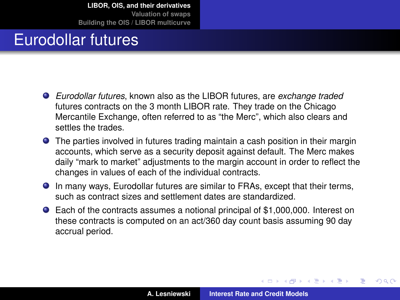### Eurodollar futures

- *Eurodollar futures*, known also as the LIBOR futures, are *exchange traded* futures contracts on the 3 month LIBOR rate. They trade on the Chicago Mercantile Exchange, often referred to as "the Merc", which also clears and settles the trades.
- The parties involved in futures trading maintain a cash position in their margin accounts, which serve as a security deposit against default. The Merc makes daily "mark to market" adjustments to the margin account in order to reflect the changes in values of each of the individual contracts.
- In many ways, Eurodollar futures are similar to FRAs, except that their terms, such as contract sizes and settlement dates are standardized.
- Each of the contracts assumes a notional principal of \$1,000,000. Interest on these contracts is computed on an act/360 day count basis assuming 90 day accrual period.

 $QQ$ 

 $\sqrt{m}$   $\rightarrow$   $\sqrt{m}$   $\rightarrow$   $\sqrt{m}$   $\rightarrow$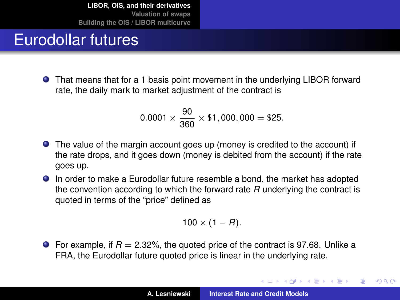### Eurodollar futures

That means that for a 1 basis point movement in the underlying LIBOR forward rate, the daily mark to market adjustment of the contract is

$$
0.0001 \times \frac{90}{360} \times $1,000,000 = $25.
$$

- The value of the margin account goes up (money is credited to the account) if the rate drops, and it goes down (money is debited from the account) if the rate goes up.
- In order to make a Eurodollar future resemble a bond, the market has adopted the convention according to which the forward rate *R* underlying the contract is quoted in terms of the "price" defined as

$$
100\times(1-R).
$$

**•** For example, if  $R = 2.32\%$ , the quoted price of the contract is 97.68. Unlike a FRA, the Eurodollar future quoted price is linear in the underlying rate.

(ロトス個) (運) (運)

 $QQ$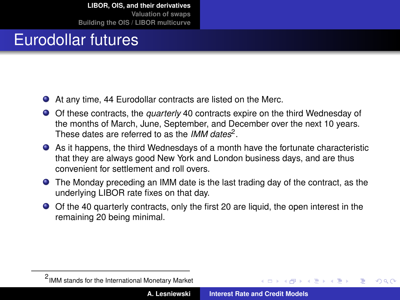## Eurodollar futures

- At any time, 44 Eurodollar contracts are listed on the Merc.
- Of these contracts, the *quarterly* 40 contracts expire on the third Wednesday of the months of March, June, September, and December over the next 10 years. These dates are referred to as the *IMM dates*<sup>2</sup> .
- As it happens, the third Wednesdays of a month have the fortunate characteristic that they are always good New York and London business days, and are thus convenient for settlement and roll overs.
- The Monday preceding an IMM date is the last trading day of the contract, as the underlying LIBOR rate fixes on that day.
- Of the 40 quarterly contracts, only the first 20 are liquid, the open interest in the remaining 20 being minimal.

 $\overline{AB}$   $\rightarrow$   $\overline{AB}$   $\rightarrow$   $\overline{AB}$   $\rightarrow$ 

 $QQ$ 

<sup>2</sup> IMM stands for the International Monetary Market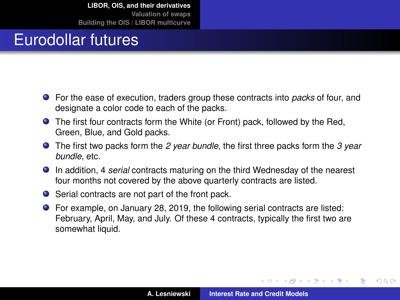### Eurodollar futures

- For the ease of execution, traders group these contracts into *packs* of four, and designate a color code to each of the packs.
- The first four contracts form the White (or Front) pack, followed by the Red, Green, Blue, and Gold packs.
- The first two packs form the *2 year bundle*, the first three packs form the *3 year bundle*, etc.
- In addition, 4 *serial* contracts maturing on the third Wednesday of the nearest four months not covered by the above quarterly contracts are listed.
- Serial contracts are not part of the front pack.
- For example, on January 28, 2019, the following serial contracts are listed: February, April, May, and July. Of these 4 contracts, typically the first two are somewhat liquid.

イロメ イ部メ イ君メ イ君メー

 $2Q$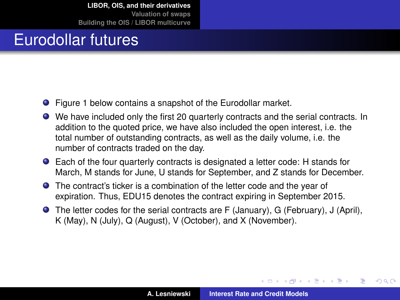### Eurodollar futures

- Figure [1](#page-17-0) below contains a snapshot of the Eurodollar market.
- We have included only the first 20 quarterly contracts and the serial contracts. In addition to the quoted price, we have also included the open interest, i.e. the total number of outstanding contracts, as well as the daily volume, i.e. the number of contracts traded on the day.
- Each of the four quarterly contracts is designated a letter code: H stands for March, M stands for June, U stands for September, and Z stands for December.
- The contract's ticker is a combination of the letter code and the year of expiration. Thus, EDU15 denotes the contract expiring in September 2015.
- The letter codes for the serial contracts are F (January), G (February), J (April), K (May), N (July), Q (August), V (October), and X (November).

 $QQ$ 

Þ

 $\sqrt{m}$   $\rightarrow$   $\sqrt{m}$   $\rightarrow$   $\sqrt{m}$   $\rightarrow$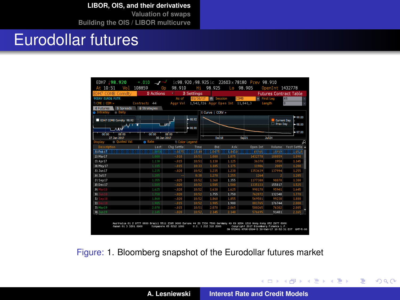**[LIBOR, OIS, and their derivatives](#page-2-0)**

**[Valuation of swaps](#page-33-0) [Building the OIS / LIBOR multicurve](#page-49-0)**

### Eurodollar futures

| EDH7 98.920<br>At 10:51<br>Vol | $+.010$<br>щÆ<br>108859<br>ñп | 98.910                 | нs         | 98.925             | Lo.                                                        | ic98.920/98.925ic 22603x78180 Prev 98.910<br>98.905 | OpenInt 1432778 |                               |
|--------------------------------|-------------------------------|------------------------|------------|--------------------|------------------------------------------------------------|-----------------------------------------------------|-----------------|-------------------------------|
| EDH7 COMB Comdty               | 1) Actions                    |                        | 2 Settings |                    |                                                            |                                                     |                 | <b>Futures Contract Table</b> |
| 900AY EUROS FUTR               |                               | As of                  | 01/30/17   | <b>Fil Session</b> | <b>COMB</b>                                                |                                                     | · First Leg     | RU                            |
| TI CME I CEM »                 | Contracts<br>44               | Ager Vol               |            |                    | 1,542,726 Aggr Open Int 11,841,3                           |                                                     | Length          | In                            |
| 9 Spreads<br>Futures           | <b>A</b> Strategies           |                        |            |                    |                                                            |                                                     |                 |                               |
| <b>Daily</b><br>o Intraday     |                               |                        |            | Il Curve   CCRV ×  |                                                            |                                                     |                 |                               |
| EDH7 COMB Comdty 98.92         | $-98.92$                      |                        |            |                    | - 00.00<br>Current Day<br><b>E.S. Press Date</b><br>-98.00 |                                                     |                 |                               |
| <b>AMM</b>                     |                               |                        | $-98.90$   |                    |                                                            |                                                     |                 | $-97.00$                      |
| <b>COLOR</b><br>OR 00          | 00:00                         | <b>OR DO</b>           |            |                    |                                                            |                                                     |                 |                               |
| 27.3an 2017<br>Ouoted Val      | 30 Jan 2017<br><b>n</b> Rate  | <b>9) Color Legend</b> |            | Dec 18             |                                                            | Sep21                                               | <b>Jun 24</b>   |                               |
| ilay<br>Description<br>ı       | Last                          | Cho Settle             | Time       | Bid                | 35k                                                        | <b>Onen Int</b>                                     | <b>Volume</b>   | R<br>Vest Settle              |
| 211Feb 17                      | man                           | 1,0075                 | 10.39      | 11655              | maan                                                       | 189788                                              | 115939          | 110528                        |
| $20$ Mar17                     | 1.080                         | $+0.10$                | 10:51      | 1.080              | 1.075                                                      | 1432778                                             | 108859          | 1.090                         |
| 231 Apr 17                     | 1.130                         | $-015$                 | 10:51      | 1.130              | 1.125                                                      | 36378                                               | 1958            | 1.145                         |
| 30 May 17                      | 1.185                         | $-.015$                | 10:33      | 1.185              | 1.175                                                      | 11906                                               | 2089            | 1.200                         |
| 251 Jun 17                     | 1.235                         | $-0.20$                | 10:52      | 1.235              | 1.230                                                      | 1353639                                             | 137994          | 1.255                         |
| 261,31117                      | 1.285                         |                        | 8:30       | 1.278              | 1.255                                                      | 1264                                                |                 | 1.285                         |
| $21$ Sep $17$                  | 1.355                         | $-0.025$               | 10:52      | 1.360              | 1.355                                                      | 1177388                                             | 98878           | 1.380                         |
| 39 Dec 17                      | 1.505                         | $-.020$                | 10:52      | 1.505              | 1.500                                                      | 1335133                                             | 155817          | 1.525                         |
| 29 Mar 18                      | 1.625                         | $-0.20$                | 10:52      | 1.630              | 1.625                                                      | 998178                                              | 95941           | 1.645                         |
| 301                            | 1,750                         | $-.020$                | 10:52      | 1.755              | 1.750                                                      | 762872                                              | 132348          | 1,770                         |
| m.                             | 1.860                         | $-.020$                | 10:52      | 1.860              | 1.855                                                      | 569501                                              | 99230           | 1.880                         |
| 321                            | 1.985                         | $-0.15$                | 10:52      | 1.985              | 1.980                                                      | 801765                                              | 176744          | 2,000                         |
| 第1Mar19                        | 2.070                         | $-0.015$               | 10:51      | 2.070              | 2.065                                                      | 580265                                              | 76302           | 2.085                         |
|                                | 2.145                         | $-.020$                | 10:52      | 2.145              | 2.140                                                      | S76695                                              | 91481           | 2.165                         |

<span id="page-17-0"></span>Figure: [1.](#page-17-0) Bloomberg snapshot of the Eurodollar futures market

イロメ イ部メ イ君メ イ君メー

重

 $298$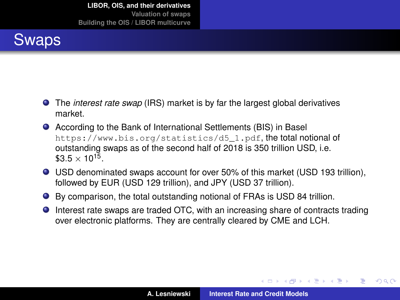## Swaps

- The *interest rate swap* (IRS) market is by far the largest global derivatives market.
- According to the Bank of International Settlements (BIS) in Basel [https://www.bis.org/statistics/d5\\_1.pdf](https://www.bis.org/statistics/d5_1.pdf), the total notional of outstanding swaps as of the second half of 2018 is 350 trillion USD, i.e.  $$3.5 \times 10^{15}$ .
- USD denominated swaps account for over 50% of this market (USD 193 trillion), followed by EUR (USD 129 trillion), and JPY (USD 37 trillion).
- By comparison, the total outstanding notional of FRAs is USD 84 trillion.
- Interest rate swaps are traded OTC, with an increasing share of contracts trading over electronic platforms. They are centrally cleared by CME and LCH.

 $\left\{ \begin{array}{ccc} 1 & 0 & 0 \\ 0 & 1 & 0 \end{array} \right.$ 

 $2Q$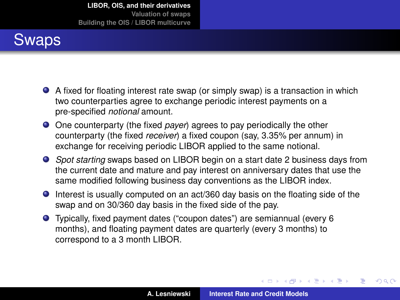## Swaps

- A fixed for floating interest rate swap (or simply swap) is a transaction in which two counterparties agree to exchange periodic interest payments on a pre-specified *notional* amount.
- One counterparty (the fixed *payer*) agrees to pay periodically the other counterparty (the fixed *receiver*) a fixed coupon (say, 3.35% per annum) in exchange for receiving periodic LIBOR applied to the same notional.
- *Spot starting* swaps based on LIBOR begin on a start date 2 business days from the current date and mature and pay interest on anniversary dates that use the same modified following business day conventions as the LIBOR index.
- Interest is usually computed on an act/360 day basis on the floating side of the swap and on 30/360 day basis in the fixed side of the pay.
- Typically, fixed payment dates ("coupon dates") are semiannual (every 6 months), and floating payment dates are quarterly (every 3 months) to correspond to a 3 month LIBOR.

イロメ イ部メ イ君メ イ君メー

 $2Q$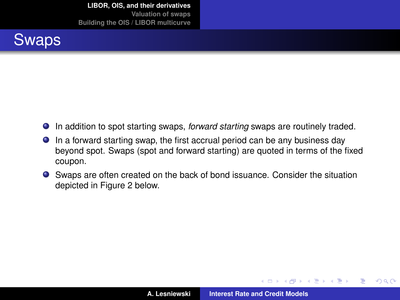

- In addition to spot starting swaps, *forward starting* swaps are routinely traded.
- In a forward starting swap, the first accrual period can be any business day beyond spot. Swaps (spot and forward starting) are quoted in terms of the fixed coupon.
- Swaps are often created on the back of bond issuance. Consider the situation depicted in Figure [2](#page-21-0) below.

す 伊 メ マ ヨ メ マ ヨ メ

4 0 8 1

 $2Q$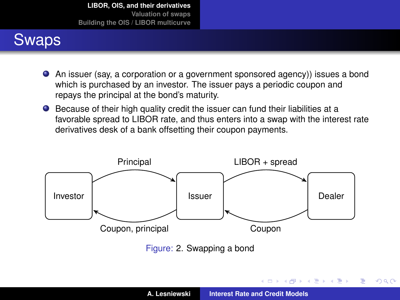## Swaps

- An issuer (say, a corporation or a government sponsored agency)) issues a bond which is purchased by an investor. The issuer pays a periodic coupon and repays the principal at the bond's maturity.
- Because of their high quality credit the issuer can fund their liabilities at a favorable spread to LIBOR rate, and thus enters into a swap with the interest rate derivatives desk of a bank offsetting their coupon payments.

<span id="page-21-0"></span>

Figure: [2.](#page-21-0) Swapping a bond

イロメ イ団メ イヨメ イヨメー

重

 $298$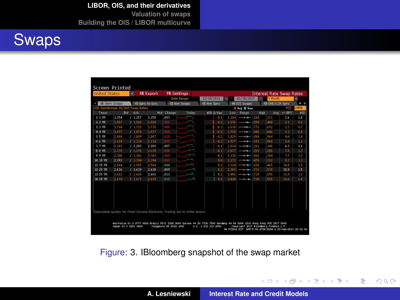**[LIBOR, OIS, and their derivatives](#page-2-0)**

**[Valuation of swaps](#page-33-0) [Building the OIS / LIBOR multicurve](#page-49-0)**



| <b>United States</b>                                                       |       | ы          | 98 Export       |                   | 99 Settings                                                                                                           |             |       |                      |             | <b>Interest Rate Swap Rates</b> |          |        |
|----------------------------------------------------------------------------|-------|------------|-----------------|-------------------|-----------------------------------------------------------------------------------------------------------------------|-------------|-------|----------------------|-------------|---------------------------------|----------|--------|
|                                                                            |       |            |                 |                   | <b>Date Range:</b>                                                                                                    | 12/30/2016  |       | 01/30/2017           |             | 1 Month                         |          | ٥      |
| 40 Semi Swaps                                                              |       |            | 40 Sprs to Gov. |                   | 42 Ann Swaps                                                                                                          | 43 Ann Sors |       | 44 OIS Swaps         |             | <b>49 CHE/LCH Sprs</b>          |          | ī<br>٠ |
| USD SemiAnnual 30/360 Swap Rates                                           |       |            |                 |                   |                                                                                                                       |             |       | <b>6 Avs. @ Now.</b> |             |                                 | PCS      | CMPN   |
| Tenor                                                                      | Bid   | <b>Ask</b> | Mid             | Change            | Today                                                                                                                 | #SD &/day   | Low   | Range                | <b>High</b> | Avg                             | $+/-BPS$ | KSD    |
| 111R                                                                       | 1.254 | /1.257     | 1.255           | .003              |                                                                                                                       | $-0.1$      | 1.184 | $-1$                 | .284        | 231                             | 2.6      | 1.0    |
| $21.2$ YR                                                                  | 1.507 | /1.508     | 1.508           | .006              |                                                                                                                       | $-0.2$      | 1.376 | --                   | .559        | 488                             | 2.1      | 0.8    |
| <b>JI 3 YR</b>                                                             | 1.714 | 1.715      | 1.715           | $\frac{008}{008}$ |                                                                                                                       | $-0.1$      | 1.610 |                      | 332         | 692                             | 2.3      | 0.7    |
| <b>414 YR</b>                                                              | 1.877 | 1.878      | 1.877           |                   |                                                                                                                       | $-0.2$      | 1,750 |                      | 946         | 846                             | 3.1      | 0.8    |
| $515$ YR                                                                   | 2,006 | 12.009     | 2,007           | .010              |                                                                                                                       | $-0.2$      | 1,829 |                      | 084         | 964                             | 44       | 1.0    |
| f1 6 YR                                                                    | 2.114 | 12.114     | 2.114           | .009              |                                                                                                                       | $-0.2$      | 1.927 |                      | 192         | 060                             | 5.4      | 1.1    |
| $11.7$ YR                                                                  | 2,203 | 12.203     | 2.203           | 007               |                                                                                                                       | $-0.1$      | 2.014 |                      | 281         | 140                             | 6.3      | 1.1    |
| <b>FI 8 YR</b>                                                             | 2.278 | 12.278     | 2,278           | .006              |                                                                                                                       | $-0.1$      | 2.077 |                      | 369         | 208                             | 7.0      | 1.2    |
| 51 9 YR                                                                    | 2.340 | 12.341     | 2.341           | 004<br>.003       |                                                                                                                       | $-0.1$      | 2.130 |                      | 416         | 264                             | 7.7      | 1.2    |
| 31 10 YR                                                                   | 2.393 | 1.2.394    | 2.394           |                   |                                                                                                                       | 0.0         | 2.173 |                      | 478         | 312                             | 8.3      | 1.3    |
| 111 15 VR                                                                  | 2.564 | 12.565     | 2.564           | 1004              |                                                                                                                       | 0.1         | 2.324 |                      | 650         | 465                             | 10.0     | 1.5    |
| 121 20 VR                                                                  | 2.636 | 12.639     | 2,638           | .009              |                                                                                                                       | 0.1         | 2.383 |                      | .721        | 530                             | 10.9     | 1.5    |
| 131 25 VR                                                                  | 2,662 | 12.664     | 2,663           | .011              |                                                                                                                       | 0.2         | 2,406 |                      | .724        | 550                             | 11.4     | 1.6    |
| 141 30 VR                                                                  | 2.670 | 12.671     | 2.670           | .012              |                                                                                                                       | 0.2         | 2,410 |                      | .730        | <b>SSS</b>                      | 11.6     | 1.6    |
|                                                                            |       |            |                 |                   |                                                                                                                       |             |       |                      |             |                                 |          |        |
| Executable quotes for Fixed Income Electronic Trading are in white tenors. |       |            |                 |                   | Australia 61 2 9777 8600 Brazil 5511 2395 9000 Europe 44 20 7330 7500 Germany 49 69 9204 1210 Home Kome 852 2977 6000 |             |       |                      |             |                                 |          |        |

<span id="page-22-0"></span>Figure: [3.](#page-22-0) IBloomberg snapshot of the swap market

イロメ イ部メ イヨメ イヨメー

重

 $298$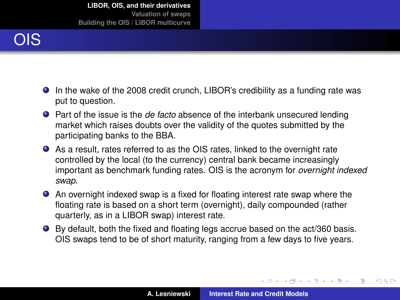# OIS

- In the wake of the 2008 credit crunch, LIBOR's credibility as a funding rate was put to question.
- Part of the issue is the *de facto* absence of the interbank unsecured lending market which raises doubts over the validity of the quotes submitted by the participating banks to the BBA.
- As a result, rates referred to as the OIS rates, linked to the overnight rate controlled by the local (to the currency) central bank became increasingly important as benchmark funding rates. OIS is the acronym for *overnight indexed swap*.
- An overnight indexed swap is a fixed for floating interest rate swap where the floating rate is based on a short term (overnight), daily compounded (rather quarterly, as in a LIBOR swap) interest rate.
- By default, both the fixed and floating legs accrue based on the act/360 basis. OIS swaps tend to be of short maturity, ranging from a few days to five years.

(ロトス個) (運) (運)

<span id="page-23-0"></span> $QQ$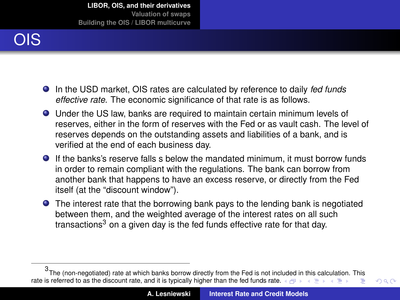

- In the USD market, OIS rates are calculated by reference to daily *fed funds effective rate*. The economic significance of that rate is as follows.
- Under the US law, banks are required to maintain certain minimum levels of reserves, either in the form of reserves with the Fed or as vault cash. The level of reserves depends on the outstanding assets and liabilities of a bank, and is verified at the end of each business day.
- If the banks's reserve falls s below the mandated minimum, it must borrow funds in order to remain compliant with the regulations. The bank can borrow from another bank that happens to have an excess reserve, or directly from the Fed itself (at the "discount window").
- The interest rate that the borrowing bank pays to the lending bank is negotiated between them, and the weighted average of the interest rates on all such transactions<sup>3</sup> on a given day is the fed funds effective rate for that day.

<span id="page-24-0"></span> $298$ 

<sup>3</sup> The (non-negotiated) rate at which banks borrow directly from the Fed is not inc[lud](#page-23-0)[ed](#page-24-0) [in](#page-25-0) [th](#page-1-0)[is](#page-2-0) [c](#page-32-0)[alc](#page-33-0)[ul](#page-1-0)[at](#page-2-0)[io](#page-32-0)[n.](#page-33-0) [Thi](#page-0-0)[s](#page-69-0) rate is referred to as the discount rate, and it is typically higher than the fed fu[nds](#page-23-0) r[ate.](#page-25-0)  $\Box$ Þ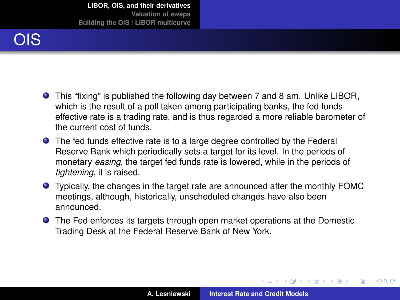

- This "fixing" is published the following day between 7 and 8 am. Unlike LIBOR, which is the result of a poll taken among participating banks, the fed funds effective rate is a trading rate, and is thus regarded a more reliable barometer of the current cost of funds.
- The fed funds effective rate is to a large degree controlled by the Federal Reserve Bank which periodically sets a target for its level. In the periods of monetary *easing*, the target fed funds rate is lowered, while in the periods of *tightening*, it is raised.
- Typically, the changes in the target rate are announced after the monthly FOMC meetings, although, historically, unscheduled changes have also been announced.
- The Fed enforces its targets through open market operations at the Domestic Trading Desk at the Federal Reserve Bank of New York.

イロト イ押 トイラ トイラト

<span id="page-25-0"></span> $QQ$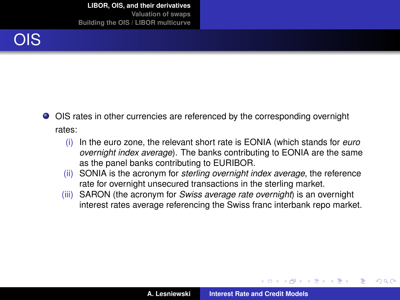

- OIS rates in other currencies are referenced by the corresponding overnight rates:
	- (i) In the euro zone, the relevant short rate is EONIA (which stands for *euro overnight index average*). The banks contributing to EONIA are the same as the panel banks contributing to EURIBOR.
	- (ii) SONIA is the acronym for *sterling overnight index average*, the reference rate for overnight unsecured transactions in the sterling market.
	- (iii) SARON (the acronym for *Swiss average rate overnight*) is an overnight interest rates average referencing the Swiss franc interbank repo market.

4 包 )

 $\mathcal{A} \oplus \mathcal{B} \rightarrow \mathcal{A} \oplus \mathcal{B}$ 

 $QQ$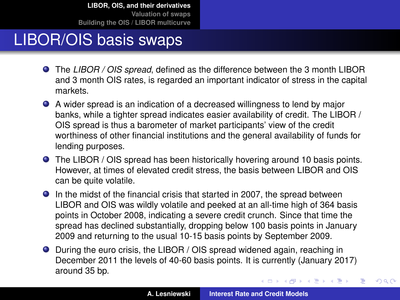## LIBOR/OIS basis swaps

- The *LIBOR / OIS spread*, defined as the difference between the 3 month LIBOR and 3 month OIS rates, is regarded an important indicator of stress in the capital markets.
- A wider spread is an indication of a decreased willingness to lend by major banks, while a tighter spread indicates easier availability of credit. The LIBOR / OIS spread is thus a barometer of market participants' view of the credit worthiness of other financial institutions and the general availability of funds for lending purposes.
- The LIBOR / OIS spread has been historically hovering around 10 basis points. However, at times of elevated credit stress, the basis between LIBOR and OIS can be quite volatile.
- **In the midst of the financial crisis that started in 2007, the spread between** LIBOR and OIS was wildly volatile and peeked at an all-time high of 364 basis points in October 2008, indicating a severe credit crunch. Since that time the spread has declined substantially, dropping below 100 basis points in January 2009 and returning to the usual 10-15 basis points by September 2009.
- During the euro crisis, the LIBOR / OIS spread widened again, reaching in December 2011 the levels of 40-60 basis points. It is currently (January 2017) around 35 bp.

(ロトス個) (運) (運)

 $2Q$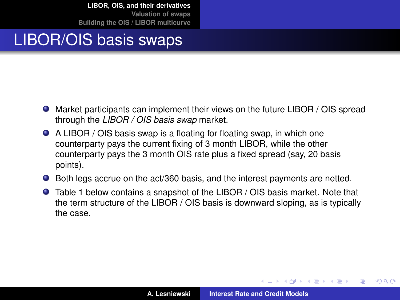### LIBOR/OIS basis swaps

- Market participants can implement their views on the future LIBOR / OIS spread through the *LIBOR / OIS basis swap* market.
- A LIBOR / OIS basis swap is a floating for floating swap, in which one counterparty pays the current fixing of 3 month LIBOR, while the other counterparty pays the 3 month OIS rate plus a fixed spread (say, 20 basis points).
- Both legs accrue on the act/360 basis, and the interest payments are netted.
- Table [1](#page-29-0) below contains a snapshot of the LIBOR / OIS basis market. Note that the term structure of the LIBOR / OIS basis is downward sloping, as is typically the case.

 $\overline{AB}$   $\rightarrow$   $\overline{AB}$   $\rightarrow$   $\overline{AB}$   $\rightarrow$ 

 $2Q$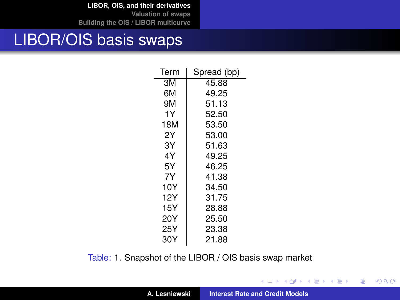**[LIBOR, OIS, and their derivatives](#page-2-0)**

**[Valuation of swaps](#page-33-0) [Building the OIS / LIBOR multicurve](#page-49-0)**

#### LIBOR/OIS basis swaps

| Term | Spread (bp) |
|------|-------------|
| ЗM   | 45.88       |
| 6M   | 49.25       |
| 9M   | 51.13       |
| 1Υ   | 52.50       |
| 18M  | 53.50       |
| 2Y   | 53.00       |
| 3Y   | 51.63       |
| 4Υ   | 49.25       |
| 5Υ   | 46.25       |
| 7Y   | 41.38       |
| 10Y  | 34.50       |
| 12Y  | 31.75       |
| 15Y  | 28.88       |
| 20Y  | 25.50       |
| 25Y  | 23.38       |
| 30Y  | 21.88       |

<span id="page-29-0"></span>Table: [1.](#page-29-0) Snapshot of the LIBOR / OIS basis swap market

イロメ イ団メ イヨメ イヨメー

重

 $298$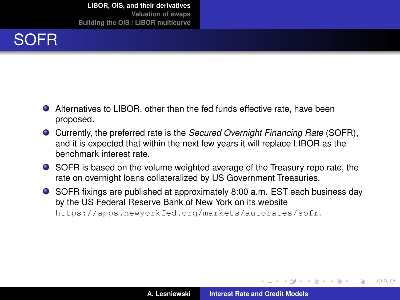

- Alternatives to LIBOR, other than the fed funds effective rate, have been proposed.
- Currently, the preferred rate is the *Secured Overnight Financing Rate* (SOFR), and it is expected that within the next few years it will replace LIBOR as the benchmark interest rate.
- SOFR is based on the volume weighted average of the Treasury repo rate, the rate on overnight loans collateralized by US Government Treasuries.
- SOFR fixings are published at approximately 8:00 a.m. EST each business day by the US Federal Reserve Bank of New York on its website <https://apps.newyorkfed.org/markets/autorates/sofr>.

 $\left\{ \begin{array}{ccc} 1 & 0 & 0 \\ 0 & 1 & 0 \end{array} \right.$ 

<span id="page-30-0"></span> $QQ$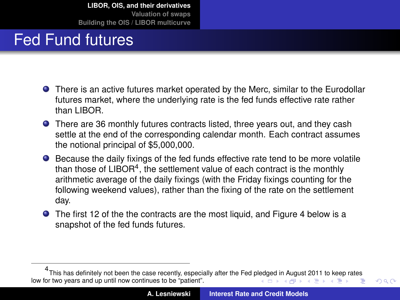## Fed Fund futures

- There is an active futures market operated by the Merc, similar to the Eurodollar futures market, where the underlying rate is the fed funds effective rate rather than LIBOR.
- There are 36 monthly futures contracts listed, three years out, and they cash settle at the end of the corresponding calendar month. Each contract assumes the notional principal of \$5,000,000.
- Because the daily fixings of the fed funds effective rate tend to be more volatile than those of LIBOR<sup>4</sup>, the settlement value of each contract is the monthly arithmetic average of the daily fixings (with the Friday fixings counting for the following weekend values), rather than the fixing of the rate on the settlement day.
- The first 12 of the the contracts are the most liquid, and Figure [4](#page-32-1) below is a snapshot of the fed funds futures.

<span id="page-31-0"></span> $QQ$ 

<sup>4</sup> This has definitely not been the case recently, especially after the Fed p[ledg](#page-30-0)[ed i](#page-32-0)[n](#page-30-0) [Aug](#page-31-0)[us](#page-32-0)[t 2](#page-1-0)[0](#page-2-0)[11](#page-32-0) [t](#page-33-0)[o k](#page-1-0)[e](#page-2-0)[ep](#page-32-0) [r](#page-33-0)[ates](#page-0-0) low for two years and up until now continues to be "patient".  $\left\{ \begin{array}{ccc} 1 & 0 & 0 \\ 0 & 1 & 0 \end{array} \right.$ Þ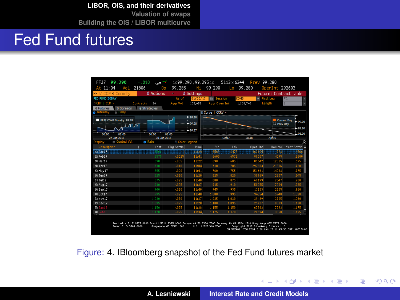**[LIBOR, OIS, and their derivatives](#page-2-0)**

**[Valuation of swaps](#page-33-0) [Building the OIS / LIBOR multicurve](#page-49-0)**

### Fed Fund futures

| COMB Comdty<br><b>FF17</b>  | 1) Actions                        |                        | 2 Settings |                      |             |                    | <b>Futures Contract Table</b> |              |
|-----------------------------|-----------------------------------|------------------------|------------|----------------------|-------------|--------------------|-------------------------------|--------------|
| FED FUND SODAY              |                                   | As of                  | 01/30/17   | п                    | COMB        |                    | · First Lea                   | RU           |
| 71 CBT I CEM »<br>Contracts | 36                                | <b>Ragr Vol.</b>       | 105,658    | <b>Roor Open Int</b> |             | 1,168,743          | Length                        | In           |
| 9 Soreads<br>Futures        | <b><i><u>A</u></i></b> Strategies |                        |            |                      |             |                    |                               |              |
| - Daily<br>Intraday<br>۵    |                                   |                        |            | Il Curve   CCRV ×    |             |                    |                               |              |
| FFJ7 COMB Comdty 99.29      |                                   |                        | $-00.20$   |                      |             |                    |                               | Current Day  |
| N VV                        |                                   |                        | $-99.28$   |                      |             |                    | <b>ED Prev Day</b>            | $-000$       |
|                             |                                   |                        | $-00.27$   |                      |             |                    |                               | es sn        |
| <b>200-00</b><br>on on      | 00:00                             | 08:00                  |            |                      |             |                    |                               | <b>08.00</b> |
| 27.3an 2017                 | 30 Jan 2017                       |                        |            |                      | <b>OVER</b> | J <sub>0</sub> 118 | Apr <sub>19</sub>             |              |
| Ouoted Val<br>day           | <b>n</b> Rate                     | <b>91 Color Legend</b> |            |                      |             |                    |                               |              |
| Description                 | Last                              | Cho Settle             | Time       | Bid                  | 35k         | <b>Onen Int</b>    | <b>Volume</b>                 | Vest Settle  |
| di 28617                    |                                   | 62.                    | 12.39      | 3550                 | 16475       | 182104             | 323                           | 16507        |
| 23 Feb 17                   | .6575                             | $-0.025$               | 11:41      | 16600                | .6575       | 89001              | 4095                          | .6600        |
| 23 Mar 17                   | .690                              | $-0.005$               | 11:22      | .690                 | .685        | 81642              | 12885                         | .695         |
| 30 Apr17                    | .710                              | $-.010$                | 11:04      | .710                 | .705        | 292603             | 21806                         | .720         |
| 21 May 17                   | .255                              | $-0.20$                | 11:41      | 360                  | .755        | 151661             | 14038                         | .275         |
| 36) Jun 17                  | .825                              | $-.020$                | 11:20      | .825                 | .820        | 30769              | 2601                          | .845         |
| $21$ Jul 17                 | 375                               | $-0.025$               | 11:41      | .880                 | .875        | 69199              | 704                           | .900         |
| 39 Aug 17                   | .910                              | $-.025$                | 11:37      | .915                 | .910        | 50055              | 7204                          | .935         |
| 20 Sep 17                   | .940                              | $-0.20$                | 11:40      | 945                  | ,935        | 13133              | 2835                          | .960         |
| 30 Oct17                    | 995                               | $-0.25$                | 11:40      | 1.000                | .995        | 34054              | 5940                          | 1.020        |
| 31 Nov 17                   | 1.030                             | $-.030$                | 11:37      | 1.035                | 1.030       | 3948               | 3725                          | 1.060        |
| 33 Dec 17                   | 1.095                             | $-.025$                | 11:28      | 1.100                | 1.095       | 25721              | 8583                          | 1.120        |
| 第1 Jan 18                   | 1.150                             | $-0.25$                | 11:38      | 1.155                | 1.150       | 67960              | 7293                          | 1.175        |
| 別<br>Feb 11                 | 1.170                             | $-0.25$                | 11:34      | 1.175                | 1.170       | 28694              | 3360                          | 1.195        |

<span id="page-32-1"></span>Figure: [4.](#page-32-1) IBloomberg snapshot of the Fed Fund futures market

イロメ イ部メ イ君メ イ君メー

重

<span id="page-32-0"></span> $298$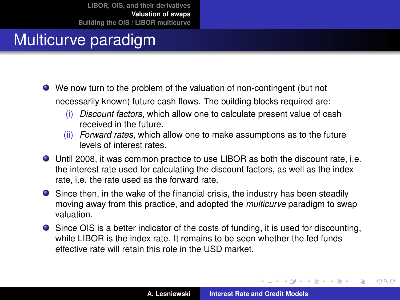## Multicurve paradigm

- We now turn to the problem of the valuation of non-contingent (but not necessarily known) future cash flows. The building blocks required are:
	- (i) *Discount factors*, which allow one to calculate present value of cash received in the future.
	- (ii) *Forward rates*, which allow one to make assumptions as to the future levels of interest rates.
- Until 2008, it was common practice to use LIBOR as both the discount rate, i.e. the interest rate used for calculating the discount factors, as well as the index rate, i.e. the rate used as the forward rate.
- Since then, in the wake of the financial crisis, the industry has been steadily moving away from this practice, and adopted the *multicurve* paradigm to swap valuation.
- Since OIS is a better indicator of the costs of funding, it is used for discounting, while LIBOR is the index rate. It remains to be seen whether the fed funds effective rate will retain this role in the USD market.

(ロトス個) (運) (運)

<span id="page-33-0"></span> $QQ$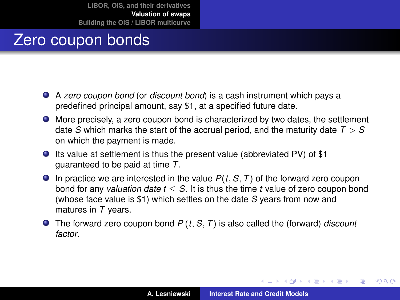## Zero coupon bonds

- A *zero coupon bond* (or *discount bond*) is a cash instrument which pays a predefined principal amount, say \$1, at a specified future date.
- More precisely, a zero coupon bond is characterized by two dates, the settlement date *S* which marks the start of the accrual period, and the maturity date *T* > *S* on which the payment is made.
- Its value at settlement is thus the present value (abbreviated PV) of \$1 guaranteed to be paid at time *T*.
- $\bullet$  In practice we are interested in the value  $P(t, S, T)$  of the forward zero coupon bond for any *valuation date t* ≤ *S*. It is thus the time *t* value of zero coupon bond (whose face value is \$1) which settles on the date *S* years from now and matures in *T* years.
- The forward zero coupon bond *P* (*t*, *S*, *T*) is also called the (forward) *discount factor*.

イロメ イ部メ イ君メ イ君メー

 $2Q$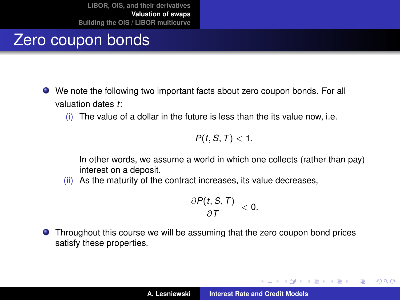## Zero coupon bonds

- We note the following two important facts about zero coupon bonds. For all valuation dates *t*:
	- (i) The value of a dollar in the future is less than the its value now, i.e.

$$
P(t, S, T) < 1.
$$

In other words, we assume a world in which one collects (rather than pay) interest on a deposit.

(ii) As the maturity of the contract increases, its value decreases,

$$
\frac{\partial P(t, S, T)}{\partial T} < 0.
$$

**•** Throughout this course we will be assuming that the zero coupon bond prices satisfy these properties.

イロメ イ部メ イ君メ イ君メー

 $2Q$ 

重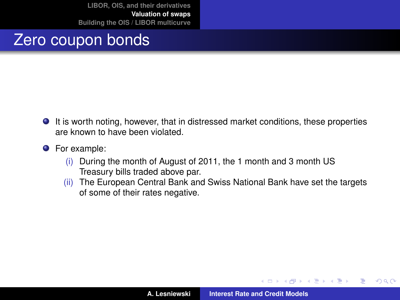### Zero coupon bonds

- It is worth noting, however, that in distressed market conditions, these properties are known to have been violated.
- **O** For example:
	- (i) During the month of August of 2011, the 1 month and 3 month US Treasury bills traded above par.
	- (ii) The European Central Bank and Swiss National Bank have set the targets of some of their rates negative.

(ロトス個) (運) (運)

 $2Q$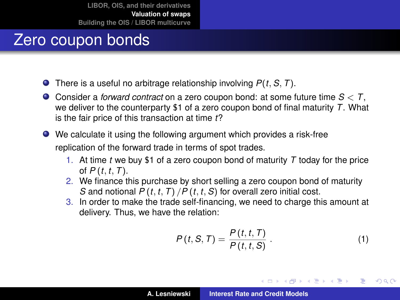## Zero coupon bonds

- There is a useful no arbitrage relationship involving *P*(*t*, *S*, *T*).
- Consider a *forward contract* on a zero coupon bond: at some future time *S* < *T*, we deliver to the counterparty \$1 of a zero coupon bond of final maturity *T*. What is the fair price of this transaction at time *t*?
- We calculate it using the following argument which provides a risk-free replication of the forward trade in terms of spot trades.
	- 1. At time *t* we buy \$1 of a zero coupon bond of maturity *T* today for the price of *P* (*t*, *t*, *T*).
	- 2. We finance this purchase by short selling a zero coupon bond of maturity *S* and notional *P* (*t*, *t*, *T*) /*P* (*t*, *t*, *S*) for overall zero initial cost.
	- 3. In order to make the trade self-financing, we need to charge this amount at delivery. Thus, we have the relation:

<span id="page-37-0"></span>
$$
P(t, S, T) = \frac{P(t, t, T)}{P(t, t, S)}.
$$
\n(1)

イロメ イ部メ イ君メ イ君メー

Þ

 $298$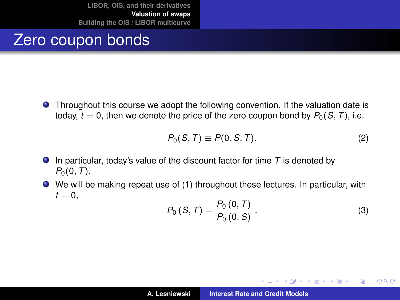### Zero coupon bonds

Throughout this course we adopt the following convention. If the valuation date is today,  $t = 0$ , then we denote the price of the zero coupon bond by  $P_0(S, T)$ , i.e.

$$
P_0(S,T) \equiv P(0,S,T). \tag{2}
$$

- In particular, today's value of the discount factor for time *T* is denoted by  $P_0(0, T)$ .
- We will be making repeat use of [\(1\)](#page-37-0) throughout these lectures. In particular, with  $t = 0$ ,

<span id="page-38-0"></span>
$$
P_0(S,T) = \frac{P_0(0,T)}{P_0(0,S)}.
$$
 (3)

イロメ イ部メ イ君メ イ君メー

 $2Q$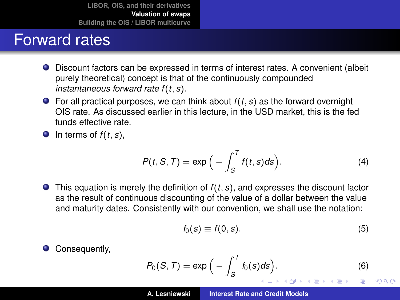## Forward rates

- Discount factors can be expressed in terms of interest rates. A convenient (albeit purely theoretical) concept is that of the continuously compounded *instantaneous forward rate f* (*t*, *s*).
- $\bullet$  For all practical purposes, we can think about  $f(t, s)$  as the forward overnight OIS rate. As discussed earlier in this lecture, in the USD market, this is the fed funds effective rate.

 $\bullet$  In terms of  $f(t, s)$ ,

$$
P(t, S, T) = \exp\Big(-\int_{S}^{T} f(t, s) ds\Big). \tag{4}
$$

 $\bullet$  This equation is merely the definition of  $f(t, s)$ , and expresses the discount factor as the result of continuous discounting of the value of a dollar between the value and maturity dates. Consistently with our convention, we shall use the notation:

$$
f_0(s) \equiv f(0, s). \tag{5}
$$

Consequently,

$$
P_0(S,T) = \exp\Big(-\int_S^T f_0(s)ds\Big). \tag{6}
$$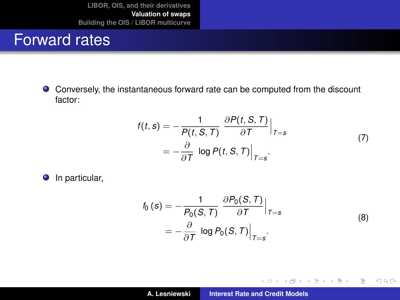#### Forward rates

Conversely, the instantaneous forward rate can be computed from the discount factor:

$$
f(t,s) = -\frac{1}{P(t, S, T)} \frac{\partial P(t, S, T)}{\partial T} \Big|_{T=s}
$$
  
=  $-\frac{\partial}{\partial T} \log P(t, S, T) \Big|_{T=s}.$  (7)

**O** In particular,

$$
f_0(s) = -\frac{1}{P_0(S, T)} \frac{\partial P_0(S, T)}{\partial T} \Big|_{T=s}
$$
  
=  $-\frac{\partial}{\partial T} \log P_0(S, T) \Big|_{T=s}.$  (8)

イロメ イ部メ イ君メ イ君メー

重

 $298$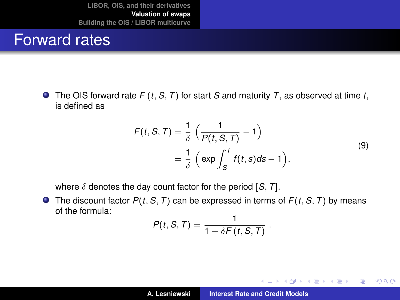#### Forward rates

 $\bullet$  The OIS forward rate  $F(t, S, T)$  for start *S* and maturity *T*, as observed at time *t*, is defined as

$$
F(t, S, T) = \frac{1}{\delta} \left( \frac{1}{P(t, S, T)} - 1 \right)
$$
  
=  $\frac{1}{\delta} \left( \exp \int_{S}^{T} f(t, s) ds - 1 \right),$  (9)

.

イロメ イ団メ イヨメ イヨメー

 $2Q$ 

重

<span id="page-41-0"></span>where  $\delta$  denotes the day count factor for the period  $[S, T]$ .

 $\bullet$  The discount factor  $P(t, S, T)$  can be expressed in terms of  $F(t, S, T)$  by means of the formula:

$$
P(t, S, T) = \frac{1}{1 + \delta F(t, S, T)}
$$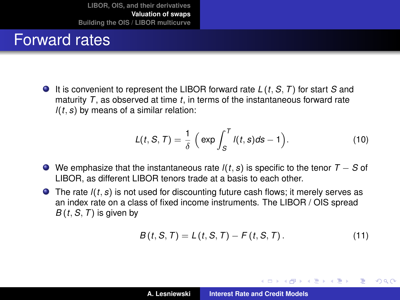#### Forward rates

It is convenient to represent the LIBOR forward rate *L* (*t*, *S*, *T*) for start *S* and maturity *T*, as observed at time *t*, in terms of the instantaneous forward rate *l*(*t*, *s*) by means of a similar relation:

<span id="page-42-0"></span>
$$
L(t, S, T) = \frac{1}{\delta} \left( \exp \int_{S}^{T} l(t, s) ds - 1 \right).
$$
 (10)

- We emphasize that the instantaneous rate *l*(*t*, *s*) is specific to the tenor *T* − *S* of LIBOR, as different LIBOR tenors trade at a basis to each other.
- The rate *l*(*t*, *s*) is not used for discounting future cash flows; it merely serves as an index rate on a class of fixed income instruments. The LIBOR / OIS spread  $B(t, S, T)$  is given by

<span id="page-42-1"></span>
$$
B(t, S, T) = L(t, S, T) - F(t, S, T).
$$
 (11)

(ロトス個) (運) (運)

Þ

 $QQ$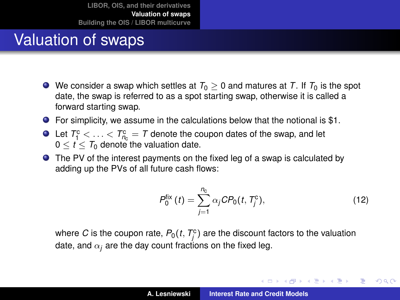## Valuation of swaps

- $\bullet$  We consider a swap which settles at  $T_0 > 0$  and matures at T. If  $T_0$  is the spot date, the swap is referred to as a spot starting swap, otherwise it is called a forward starting swap.
- For simplicity, we assume in the calculations below that the notional is \$1.
- Let  $T_1^c < \ldots < T_{n_c}^c = T$  denote the coupon dates of the swap, and let  $0 < t < T_0$  denote the valuation date.
- The PV of the interest payments on the fixed leg of a swap is calculated by adding up the PVs of all future cash flows:

$$
P_0^{\text{fix}}(t) = \sum_{j=1}^{n_{\text{c}}} \alpha_j C P_0(t, T_j^{\text{c}}), \qquad (12)
$$

イロメ イ部メ イヨメ イヨメー

Þ  $2Q$ 

where  $C$  is the coupon rate,  $P_0(t, T^c_j)$  are the discount factors to the valuation date, and  $\alpha_i$  are the day count fractions on the fixed leg.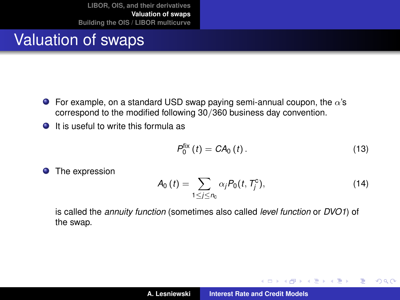## Valuation of swaps

- **For example, on a standard USD swap paying semi-annual coupon, the**  $\alpha$ **'s** correspond to the modified following 30/360 business day convention.
- **O** It is useful to write this formula as

$$
P_0^{\text{fix}}(t) = CA_0(t). \tag{13}
$$

(ロトス個) (運) (運)

 $299$ 

重

**O** The expression

$$
A_0(t) = \sum_{1 \leq j \leq n_c} \alpha_j P_0(t, T_j^c), \qquad (14)
$$

is called the *annuity function* (sometimes also called *level function* or *DVO1*) of the swap.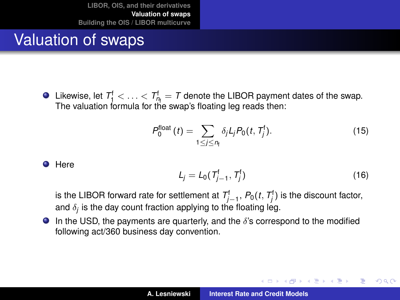## Valuation of swaps

Likewise, let  $T_1^f < \ldots < T_{n_f}^f = T$  denote the LIBOR payment dates of the swap. The valuation formula for the swap's floating leg reads then:

$$
P_0^{\text{float}}(t) = \sum_{1 \leq j \leq n_{\text{f}}} \delta_j L_j P_0(t, T_j^{\text{f}}). \tag{15}
$$

**O** Here

$$
L_j = L_0(T_{j-1}^{\dagger}, T_j^{\dagger})
$$
 (16)

イロメ イ部メ イ君メ イ君メー

Þ  $2Q$ 

is the LIBOR forward rate for settlement at  $\mathcal{T}^\mathsf{f}_{j-1},\,P_0(t,\,\mathcal{T}^\mathsf{f}_j)$  is the discount factor, and  $\delta_j$  is the day count fraction applying to the floating leg.

 $\bullet$  In the USD, the payments are quarterly, and the  $\delta$ 's correspond to the modified following act/360 business day convention.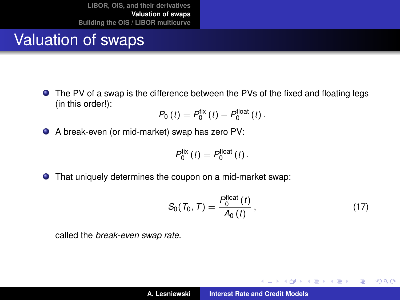## Valuation of swaps

The PV of a swap is the difference between the PVs of the fixed and floating legs (in this order!):

$$
P_0(t) = P_0^{\text{fix}}(t) - P_0^{\text{float}}(t).
$$

A break-even (or mid-market) swap has zero PV:

$$
P_0^{\text{fix}}(t)=P_0^{\text{float}}(t).
$$

That uniquely determines the coupon on a mid-market swap:

<span id="page-46-0"></span>
$$
S_0(T_0, T) = \frac{P_0^{\text{float}}(t)}{A_0(t)},
$$
\n(17)

(ロトス個) (運) (運)

 $299$ 

重

called the *break-even swap rate*.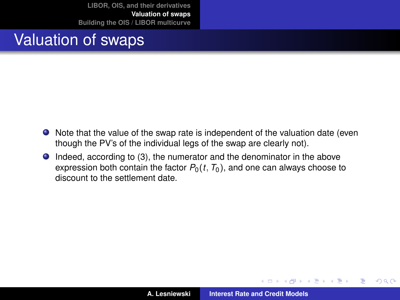### Valuation of swaps

- Note that the value of the swap rate is independent of the valuation date (even though the PV's of the individual legs of the swap are clearly not).
- Indeed, according to [\(3\)](#page-38-0), the numerator and the denominator in the above expression both contain the factor  $P_0(t, T_0)$ , and one can always choose to discount to the settlement date.

(ロトス個) (運) (運)

 $299$ 

重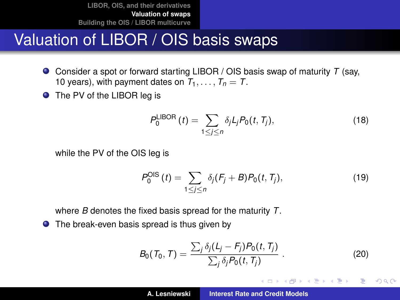### Valuation of LIBOR / OIS basis swaps

- Consider a spot or forward starting LIBOR / OIS basis swap of maturity *T* (say, 10 years), with payment dates on  $T_1, \ldots, T_n = T$ .
- The PV of the LIBOR leg is

$$
P_0^{\text{LIBOR}}(t) = \sum_{1 \le j \le n} \delta_j L_j P_0(t, T_j),\tag{18}
$$

while the PV of the OIS leg is

$$
P_0^{\text{OIS}}(t) = \sum_{1 \le j \le n} \delta_j (F_j + B) P_0(t, T_j), \tag{19}
$$

where *B* denotes the fixed basis spread for the maturity *T*.

● The break-even basis spread is thus given by

$$
B_0(\mathcal{T}_0, \mathcal{T}) = \frac{\sum_j \delta_j (L_j - F_j) P_0(t, T_j)}{\sum_j \delta_j P_0(t, T_j)}.
$$
\n(20)

イロメ イ部メ イヨメ イヨメー

重

<span id="page-48-0"></span> $298$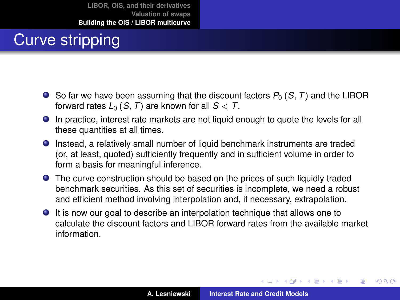# Curve stripping

- $\bullet$  So far we have been assuming that the discount factors  $P_0$  (*S*, *T*) and the LIBOR forward rates  $L_0$  (*S*, *T*) are known for all  $S < T$ .
- In practice, interest rate markets are not liquid enough to quote the levels for all these quantities at all times.
- Instead, a relatively small number of liquid benchmark instruments are traded (or, at least, quoted) sufficiently frequently and in sufficient volume in order to form a basis for meaningful inference.
- The curve construction should be based on the prices of such liquidly traded benchmark securities. As this set of securities is incomplete, we need a robust and efficient method involving interpolation and, if necessary, extrapolation.
- It is now our goal to describe an interpolation technique that allows one to calculate the discount factors and LIBOR forward rates from the available market information.

(ロトス個) (運) (運)

<span id="page-49-0"></span> $299$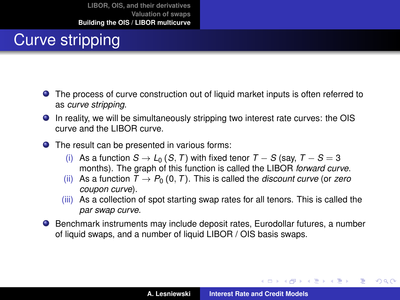# Curve stripping

- The process of curve construction out of liquid market inputs is often referred to as *curve stripping*.
- In reality, we will be simultaneously stripping two interest rate curves: the OIS curve and the LIBOR curve.
- The result can be presented in various forms:
	- (i) As a function  $S \to L_0(S, T)$  with fixed tenor  $T S$  (say,  $T S = 3$ ) months). The graph of this function is called the LIBOR *forward curve*.
	- (ii) As a function  $T \rightarrow P_0 (0, T)$ . This is called the *discount curve* (or *zero coupon curve*).
	- (iii) As a collection of spot starting swap rates for all tenors. This is called the *par swap curve*.
- **•** Benchmark instruments may include deposit rates, Eurodollar futures, a number of liquid swaps, and a number of liquid LIBOR / OIS basis swaps.

イロメ イ部メ イヨメ イヨメー

 $299$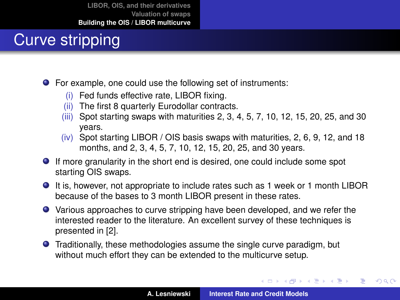# Curve stripping

- For example, one could use the following set of instruments:
	- (i) Fed funds effective rate, LIBOR fixing.
	- (ii) The first 8 quarterly Eurodollar contracts.
	- (iii) Spot starting swaps with maturities 2, 3, 4, 5, 7, 10, 12, 15, 20, 25, and 30 years.
	- $(iv)$  Spot starting LIBOR / OIS basis swaps with maturities, 2, 6, 9, 12, and 18 months, and 2, 3, 4, 5, 7, 10, 12, 15, 20, 25, and 30 years.
- If more granularity in the short end is desired, one could include some spot starting OIS swaps.
- It is, however, not appropriate to include rates such as 1 week or 1 month LIBOR because of the bases to 3 month LIBOR present in these rates.
- Various approaches to curve stripping have been developed, and we refer the interested reader to the literature. An excellent survey of these techniques is presented in [\[2\]](#page-69-1).
- Traditionally, these methodologies assume the single curve paradigm, but without much effort they can be extended to the multicurve setup.

イロメ イ部メ イヨメ イヨメー

 $299$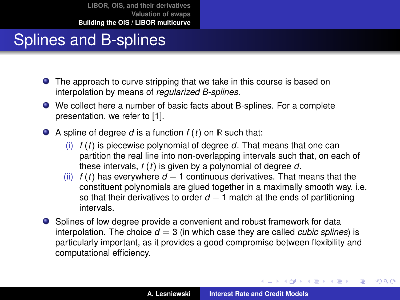## Splines and B-splines

- The approach to curve stripping that we take in this course is based on interpolation by means of *regularized B-splines*.
- We collect here a number of basic facts about B-splines. For a complete presentation, we refer to [\[1\]](#page-69-2).

 $\bullet$  A spline of degree *d* is a function  $f(t)$  on  $\mathbb R$  such that:

- (i) *f* (*t*) is piecewise polynomial of degree *d*. That means that one can partition the real line into non-overlapping intervals such that, on each of these intervals, *f* (*t*) is given by a polynomial of degree *d*.
- (ii)  $f(t)$  has everywhere  $d-1$  continuous derivatives. That means that the constituent polynomials are glued together in a maximally smooth way, i.e. so that their derivatives to order  $d - 1$  match at the ends of partitioning intervals.
- Splines of low degree provide a convenient and robust framework for data interpolation. The choice  $d = 3$  (in which case they are called *cubic splines*) is particularly important, as it provides a good compromise between flexibility and computational efficiency.

(ロトス個) (運) (運)

 $299$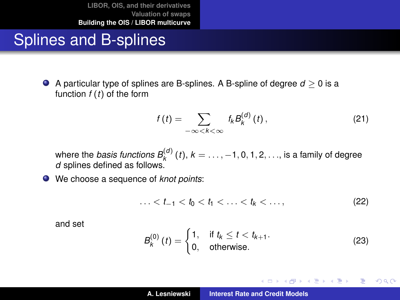### Splines and B-splines

A particular type of splines are B-splines. A B-spline of degree *d* ≥ 0 is a function *f* (*t*) of the form

$$
f(t) = \sum_{-\infty < k < \infty} f_k B_k^{(d)}(t) \,,\tag{21}
$$

where the *basis functions*  $B_k^{(d)}(t)$ ,  $k = \ldots, -1, 0, 1, 2, \ldots$ , is a family of degree *d* splines defined as follows.

We choose a sequence of *knot points*:

$$
\ldots < t_{-1} < t_0 < t_1 < \ldots < t_k < \ldots,
$$
 (22)

and set

$$
B_k^{(0)}(t) = \begin{cases} 1, & \text{if } t_k \le t < t_{k+1}.\\ 0, & \text{otherwise.} \end{cases} \tag{23}
$$

イロメ イ部メ イヨメ イヨメー

 $299$ 

重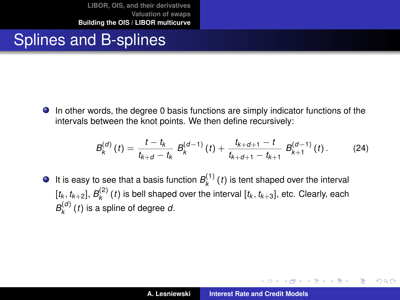### Splines and B-splines

In other words, the degree 0 basis functions are simply indicator functions of the intervals between the knot points. We then define recursively:

$$
B_k^{(d)}(t) = \frac{t - t_k}{t_{k+d} - t_k} B_k^{(d-1)}(t) + \frac{t_{k+d+1} - t}{t_{k+d+1} - t_{k+1}} B_{k+1}^{(d-1)}(t). \tag{24}
$$

It is easy to see that a basis function  $B_k^{(1)}(t)$  is tent shaped over the interval  $[t_k, t_{k+2}]$ ,  $B_k^{(2)}$  (*t*) is bell shaped over the interval  $[t_k, t_{k+3}]$ , etc. Clearly, each  $B_k^{(d)}(t)$  is a spline of degree *d*.

イロメ イ部メ イ君メ イ君メー

 $QQQ$ Þ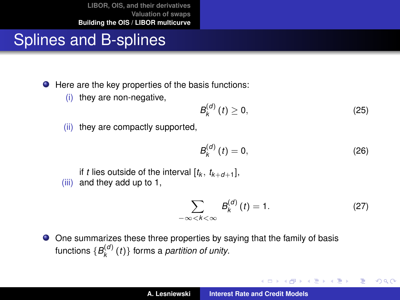## Splines and B-splines

● Here are the key properties of the basis functions:

(i) they are non-negative,

$$
B_k^{(d)}(t) \ge 0, \tag{25}
$$

(ii) they are compactly supported,

$$
B_k^{(d)}(t) = 0, \t(26)
$$

if *t* lies outside of the interval  $[t_k, t_{k+d+1}]$ , (iii) and they add up to 1,

$$
\sum_{-\infty < k < \infty} B_k^{(d)}(t) = 1. \tag{27}
$$

<span id="page-55-0"></span>イロメ イ部メ イヨメ イヨメー

 $299$ 

重

One summarizes these three properties by saying that the family of basis  $\bullet$ functions  $\{B_k^{(d)}(t)\}$  forms a *partition of unity*.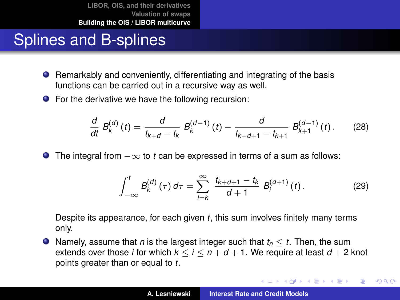## Splines and B-splines

- Remarkably and conveniently, differentiating and integrating of the basis functions can be carried out in a recursive way as well.
- For the derivative we have the following recursion:

$$
\frac{d}{dt} B_k^{(d)}(t) = \frac{d}{t_{k+d} - t_k} B_k^{(d-1)}(t) - \frac{d}{t_{k+d+1} - t_{k+1}} B_{k+1}^{(d-1)}(t). \tag{28}
$$

The integral from −∞ to *t* can be expressed in terms of a sum as follows:

$$
\int_{-\infty}^{t} B_{k}^{(d)}(\tau) d\tau = \sum_{i=k}^{\infty} \frac{t_{k+d+1} - t_{k}}{d+1} B_{i}^{(d+1)}(t).
$$
 (29)

イロメ イ部メ イヨメ イヨメー

 $299$ 

重

Despite its appearance, for each given *t*, this sum involves finitely many terms only.

 $\bullet$  Namely, assume that *n* is the largest integer such that  $t_n \leq t$ . Then, the sum extends over those *i* for which  $k < i < n + d + 1$ . We require at least  $d + 2$  knot points greater than or equal to *t*.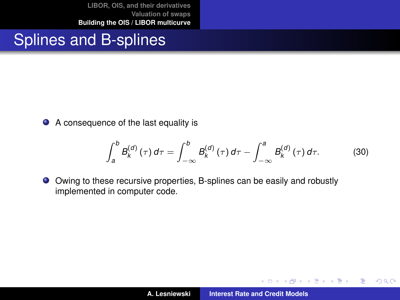## Splines and B-splines

● A consequence of the last equality is

<span id="page-57-1"></span>
$$
\int_{a}^{b} B_{k}^{(d)}(\tau) d\tau = \int_{-\infty}^{b} B_{k}^{(d)}(\tau) d\tau - \int_{-\infty}^{a} B_{k}^{(d)}(\tau) d\tau.
$$
 (30)

Owing to these recursive properties, B-splines can be easily and robustly implemented in computer code.

イロメ イ部メ イ君メ イ君メー

 $299$ 

<span id="page-57-0"></span>重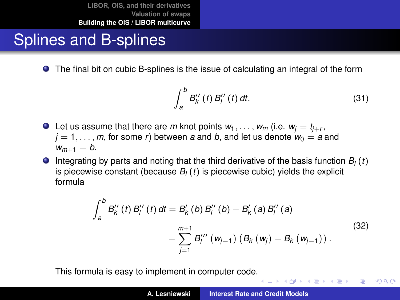## Splines and B-splines

The final bit on cubic B-splines is the issue of calculating an integral of the form

$$
\int_{a}^{b} B_{k}''(t) B_{l}''(t) dt.
$$
 (31)

イロト イ母 トイ ヨ トイ ヨ トー ヨー

 $299$ 

- Let us assume that there are  $m$  knot points  $w_1, \ldots, w_m$  (i.e.  $w_j = t_{j+r}$ ,  $j = 1, \ldots, m$ , for some *r*) between *a* and *b*, and let us denote  $w_0 = a$  and  $w_{m+1} = b$ .
- $\bullet$  Integrating by parts and noting that the third derivative of the basis function  $B_i(t)$ is piecewise constant (because  $B_l(t)$  is piecewise cubic) yields the explicit formula

$$
\int_{a}^{b} B_{k}''(t) B_{l}''(t) dt = B_{k}'(b) B_{l}''(b) - B_{k}'(a) B_{l}''(a) - \sum_{j=1}^{m+1} B_{l}''''(\mathbf{w}_{j-1}) (B_{k}(\mathbf{w}_{j}) - B_{k}(\mathbf{w}_{j-1}))
$$
\n(32)

This formula is easy to implement in computer code[.](#page-57-0)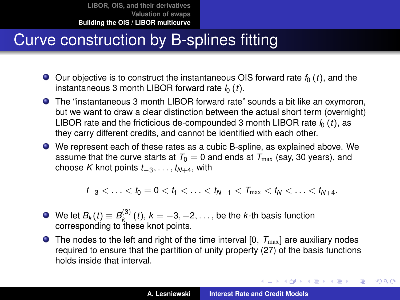## Curve construction by B-splines fitting

- $\bullet$  Our objective is to construct the instantaneous OIS forward rate  $f_0(t)$ , and the instantaneous 3 month LIBOR forward rate  $l_0$  (*t*).
- The "instantaneous 3 month LIBOR forward rate" sounds a bit like an oxymoron, but we want to draw a clear distinction between the actual short term (overnight) LIBOR rate and the fricticious de-compounded 3 month LIBOR rate  $l_0(t)$ , as they carry different credits, and cannot be identified with each other.
- We represent each of these rates as a cubic B-spline, as explained above. We assume that the curve starts at  $T_0 = 0$  and ends at  $T_{\text{max}}$  (say, 30 years), and choose *K* knot points  $t_{-3}, \ldots, t_{N+4}$ , with

$$
t_{-3} < \ldots < t_0 = 0 < t_1 < \ldots < t_{N-1} < T_{\max} < t_N < \ldots < t_{N+4}.
$$

- We let  $B_k(t) \equiv B_k^{(3)}(t)$ ,  $k=-3,-2,\ldots$  , be the *k*-th basis function corresponding to these knot points.
- $\bullet$  The nodes to the left and right of the time interval  $[0, T_{\text{max}}]$  are auxiliary nodes required to ensure that the partition of unity property [\(27\)](#page-55-0) of the basis functions holds inside that interval.

イロメ イ団メ イヨメ イヨメー

 $299$ 

÷.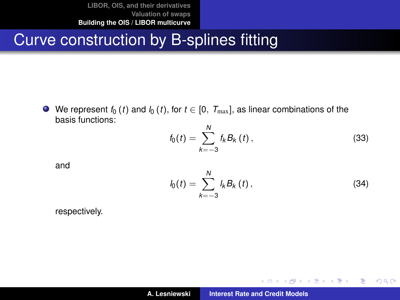### Curve construction by B-splines fitting

We represent  $f_0(t)$  and  $f_0(t)$ , for  $t \in [0, T_{\text{max}}]$ , as linear combinations of the basis functions:

<span id="page-60-0"></span>
$$
f_0(t) = \sum_{k=-3}^{N} f_k B_k(t), \qquad (33)
$$

and

<span id="page-60-1"></span>
$$
l_0(t) = \sum_{k=-3}^{N} l_k B_k(t), \qquad (34)
$$

イロメ イ部メ イヨメ イヨメー

 $299$ 

重

respectively.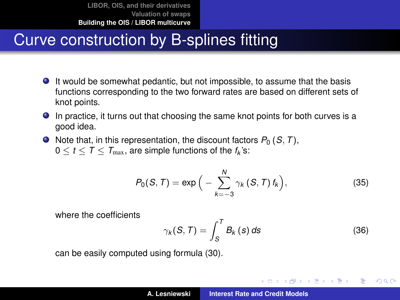- It would be somewhat pedantic, but not impossible, to assume that the basis functions corresponding to the two forward rates are based on different sets of knot points.
- In practice, it turns out that choosing the same knot points for both curves is a good idea.
- $\bullet$  Note that, in this representation, the discount factors  $P_0$  (*S*, *T*),  $0 \leq t \leq \mathcal{T} \leq \mathcal{T}_{\text{max}}$ , are simple functions of the  $f_k$ 's:

$$
P_0(S,T) = \exp\Big(-\sum_{k=-3}^N \gamma_k(S,T) f_k\Big),\tag{35}
$$

where the coefficients

<span id="page-61-0"></span>
$$
\gamma_k(S,T) = \int_S^T B_k(s) \, ds \tag{36}
$$

<span id="page-61-1"></span>イロメ イ団メ イヨメ イヨメー

÷.

 $QQ$ 

can be easily computed using formula [\(30\)](#page-57-1).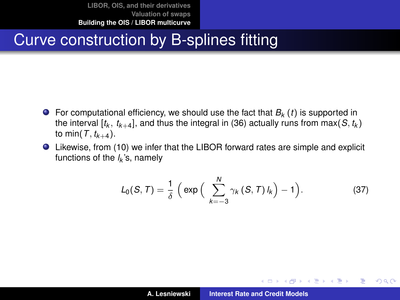- **•** For computational efficiency, we should use the fact that  $B_k(t)$  is supported in the interval  $[t_k,~t_{k+4}]$ , and thus the integral in [\(36\)](#page-61-0) actually runs from max $(\mathcal{S},t_k)$ to min( $T$ ,  $t_{k+4}$ ).
- Likewise, from [\(10\)](#page-42-0) we infer that the LIBOR forward rates are simple and explicit functions of the *l<sup>k</sup>* 's, namely

$$
L_0(S,T) = \frac{1}{\delta} \left( \exp \left( \sum_{k=-3}^{N} \gamma_k(S,T) l_k \right) - 1 \right).
$$
 (37)

<span id="page-62-0"></span>イロメ イ部メ イヨメ イヨメー

重

 $298$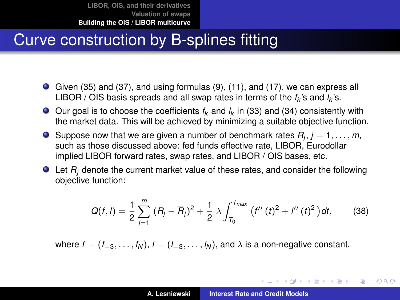- Given [\(35\)](#page-61-1) and [\(37\)](#page-62-0), and using formulas [\(9\)](#page-41-0), [\(11\)](#page-42-1), and [\(17\)](#page-46-0), we can express all LIBOR / OIS basis spreads and all swap rates in terms of the  $f_k$ 's and  $l_k$ 's.
- Our goal is to choose the coefficients *f<sup>k</sup>* and *l<sup>k</sup>* in [\(33\)](#page-60-0) and [\(34\)](#page-60-1) consistently with the market data. This will be achieved by minimizing a suitable objective function.
- Suppose now that we are given a number of benchmark rates  $R_j, j = 1, \ldots, m,$ such as those discussed above: fed funds effective rate, LIBOR, Eurodollar implied LIBOR forward rates, swap rates, and LIBOR / OIS bases, etc.
- $\bullet$  Let  $\overline{R}_i$  denote the current market value of these rates, and consider the following objective function:

$$
Q(f, l) = \frac{1}{2} \sum_{j=1}^{m} (R_j - \overline{R}_j)^2 + \frac{1}{2} \lambda \int_{T_0}^{T_{max}} (f''(t)^2 + l''(t)^2) dt, \qquad (38)
$$

where  $f = (f_{-3}, \ldots, f_N)$ ,  $l = (l_{-3}, \ldots, l_N)$ , and  $\lambda$  is a non-negative constant.

K ロ ⊁ K 伊 ⊁ K 君 ⊁ K 君 ⊁ …

<span id="page-63-0"></span>造

 $2Q$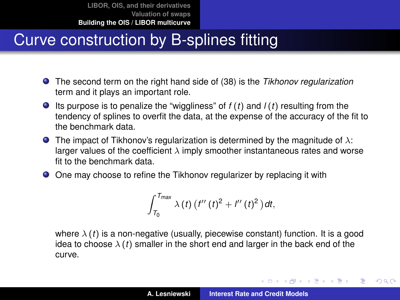- The second term on the right hand side of [\(38\)](#page-63-0) is the *Tikhonov regularization* term and it plays an important role.
- Its purpose is to penalize the "wiggliness" of *f* (*t*) and *l* (*t*) resulting from the tendency of splines to overfit the data, at the expense of the accuracy of the fit to the benchmark data.
- **The impact of Tikhonov's regularization is determined by the magnitude of**  $\lambda$ **:** larger values of the coefficient  $\lambda$  imply smoother instantaneous rates and worse fit to the benchmark data
- One may choose to refine the Tikhonov regularizer by replacing it with

$$
\int_{T_0}^{T_{max}} \lambda(t) \left( f''(t)^2 + l''(t)^2 \right) dt,
$$

where  $\lambda(t)$  is a non-negative (usually, piecewise constant) function. It is a good idea to choose  $\lambda(t)$  smaller in the short end and larger in the back end of the curve.

イロメ イ部メ イ君メ イ君メー

Þ

 $QQ$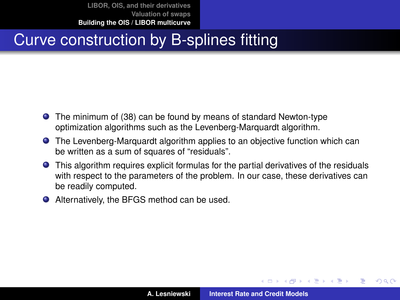### Curve construction by B-splines fitting

- The minimum of [\(38\)](#page-63-0) can be found by means of standard Newton-type optimization algorithms such as the Levenberg-Marquardt algorithm.
- The Levenberg-Marquardt algorithm applies to an objective function which can be written as a sum of squares of "residuals".
- This algorithm requires explicit formulas for the partial derivatives of the residuals with respect to the parameters of the problem. In our case, these derivatives can be readily computed.
- Alternatively, the BFGS method can be used.

 $\overline{AB}$   $\rightarrow$   $\overline{AB}$   $\rightarrow$   $\overline{AB}$   $\rightarrow$ 

 $QQ$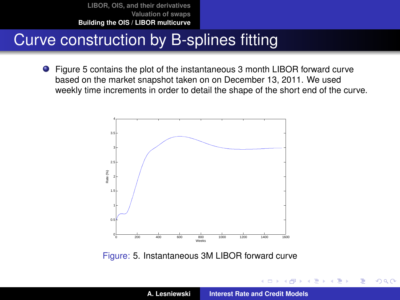### Curve construction by B-splines fitting

Figure [5](#page-66-0) contains the plot of the instantaneous 3 month LIBOR forward curve based on the market snapshot taken on on December 13, 2011. We used weekly time increments in order to detail the shape of the short end of the curve.



<span id="page-66-0"></span>Figure: [5.](#page-66-0) Instantaneous 3M LIBOR forward curve

4 同

ヨメ メヨメ

 $299$ 

É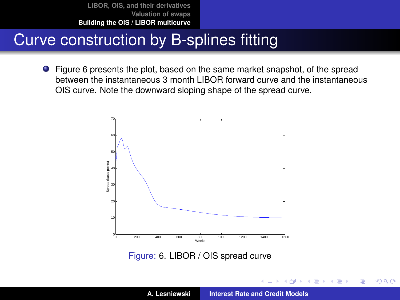### Curve construction by B-splines fitting

Figure [6](#page-67-0) presents the plot, based on the same market snapshot, of the spread between the instantaneous 3 month LIBOR forward curve and the instantaneous OIS curve. Note the downward sloping shape of the spread curve.



<span id="page-67-0"></span>Figure: [6.](#page-67-0) LIBOR / OIS spread curve

 $299$ 

<span id="page-67-1"></span>É

ヨメ メヨメ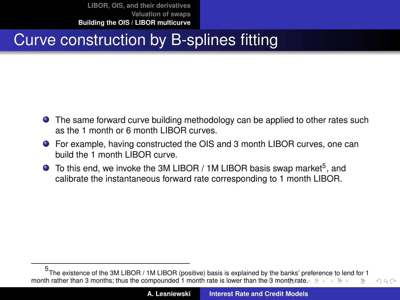## Curve construction by B-splines fitting

- **•** The same forward curve building methodology can be applied to other rates such as the 1 month or 6 month LIBOR curves.
- For example, having constructed the OIS and 3 month LIBOR curves, one can build the 1 month LIBOR curve.
- To this end, we invoke the 3M LIBOR / 1M LIBOR basis swap market<sup>5</sup>, and calibrate the instantaneous forward rate corresponding to 1 month LIBOR.

<span id="page-68-0"></span><sup>5</sup> The existence of the 3M LIBOR / 1M LIBOR (positive) basis is explained by the banks' pr[efe](#page-49-0)[renc](#page-69-0)[e](#page-48-0) [to](#page-49-0) [len](#page-69-0)[d fo](#page-0-0)[r 1](#page-69-0) month rather than 3 months; thus [the](#page-67-1) compounded 1 [m](#page-69-0)[on](#page-67-1)[th r](#page-68-0)[ate](#page-69-0) is lower than the 3 month rate[.](#page-48-0)  $\Box \rightarrow \Box \rightarrow \Box$  $QQ$